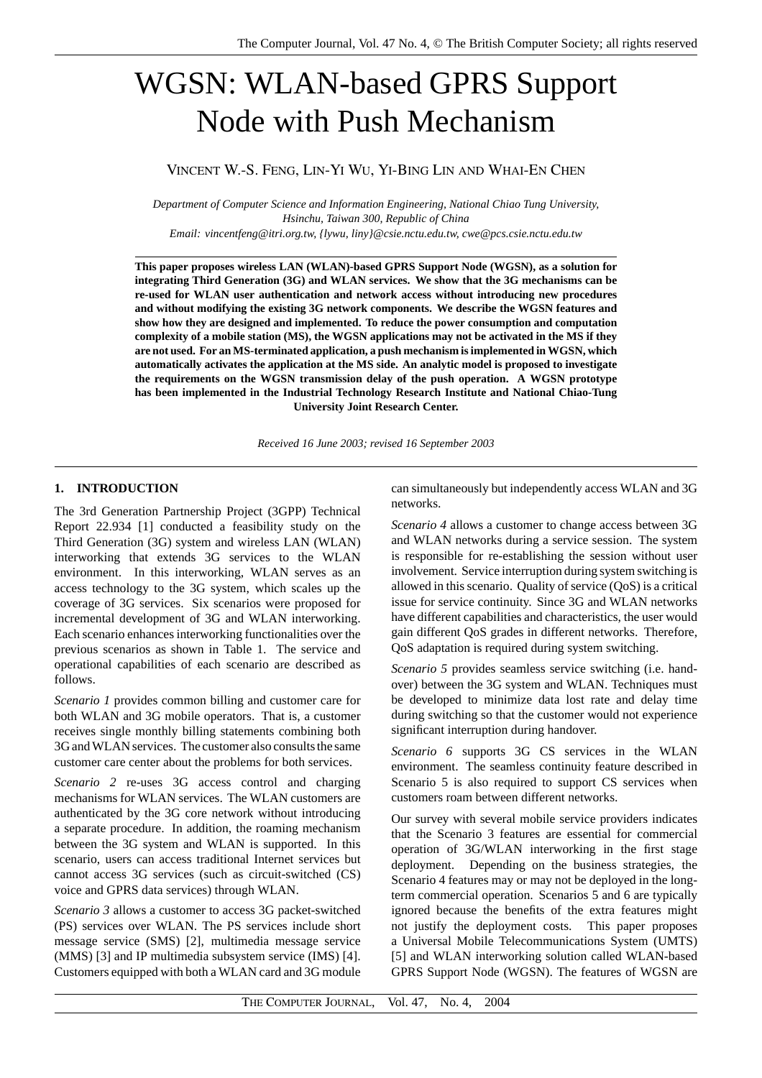# WGSN: WLAN-based GPRS Support Node with Push Mechanism

Vincent W.-S. Feng, Lin-Yi Wu, Yi-Bing Lin and Whai-En Chen

*Department of Computer Science and Information Engineering, National Chiao Tung University, Hsinchu, Taiwan 300, Republic of China Email: vincentfeng@itri.org.tw, {lywu, liny}@csie.nctu.edu.tw, cwe@pcs.csie.nctu.edu.tw*

**This paper proposes wireless LAN (WLAN)-based GPRS Support Node (WGSN), as a solution for integrating Third Generation (3G) and WLAN services. We show that the 3G mechanisms can be re-used for WLAN user authentication and network access without introducing new procedures and without modifying the existing 3G network components. We describe the WGSN features and show how they are designed and implemented. To reduce the power consumption and computation complexity of a mobile station (MS), the WGSN applications may not be activated in the MS if they are not used. For an MS-terminated application, a push mechanism is implemented in WGSN, which automatically activates the application at the MS side. An analytic model is proposed to investigate the requirements on the WGSN transmission delay of the push operation. A WGSN prototype has been implemented in the Industrial Technology Research Institute and National Chiao-Tung University Joint Research Center.**

*Received 16 June 2003; revised 16 September 2003*

# **1. INTRODUCTION**

The 3rd Generation Partnership Project (3GPP) Technical Report 22.934 [1] conducted a feasibility study on the Third Generation (3G) system and wireless LAN (WLAN) interworking that extends 3G services to the WLAN environment. In this interworking, WLAN serves as an access technology to the 3G system, which scales up the coverage of 3G services. Six scenarios were proposed for incremental development of 3G and WLAN interworking. Each scenario enhances interworking functionalities over the previous scenarios as shown in Table 1. The service and operational capabilities of each scenario are described as follows.

*Scenario 1* provides common billing and customer care for both WLAN and 3G mobile operators. That is, a customer receives single monthly billing statements combining both 3G and WLAN services. The customer also consults the same customer care center about the problems for both services.

*Scenario 2* re-uses 3G access control and charging mechanisms for WLAN services. The WLAN customers are authenticated by the 3G core network without introducing a separate procedure. In addition, the roaming mechanism between the 3G system and WLAN is supported. In this scenario, users can access traditional Internet services but cannot access 3G services (such as circuit-switched (CS) voice and GPRS data services) through WLAN.

*Scenario 3* allows a customer to access 3G packet-switched (PS) services over WLAN. The PS services include short message service (SMS) [2], multimedia message service (MMS) [3] and IP multimedia subsystem service (IMS) [4]. Customers equipped with both a WLAN card and 3G module

can simultaneously but independently access WLAN and 3G networks.

*Scenario 4* allows a customer to change access between 3G and WLAN networks during a service session. The system is responsible for re-establishing the session without user involvement. Service interruption during system switching is allowed in this scenario. Quality of service (QoS) is a critical issue for service continuity. Since 3G and WLAN networks have different capabilities and characteristics, the user would gain different QoS grades in different networks. Therefore, QoS adaptation is required during system switching.

*Scenario 5* provides seamless service switching (i.e. handover) between the 3G system and WLAN. Techniques must be developed to minimize data lost rate and delay time during switching so that the customer would not experience significant interruption during handover.

*Scenario 6* supports 3G CS services in the WLAN environment. The seamless continuity feature described in Scenario 5 is also required to support CS services when customers roam between different networks.

Our survey with several mobile service providers indicates that the Scenario 3 features are essential for commercial operation of 3G/WLAN interworking in the first stage deployment. Depending on the business strategies, the Scenario 4 features may or may not be deployed in the longterm commercial operation. Scenarios 5 and 6 are typically ignored because the benefits of the extra features might not justify the deployment costs. This paper proposes a Universal Mobile Telecommunications System (UMTS) [5] and WLAN interworking solution called WLAN-based GPRS Support Node (WGSN). The features of WGSN are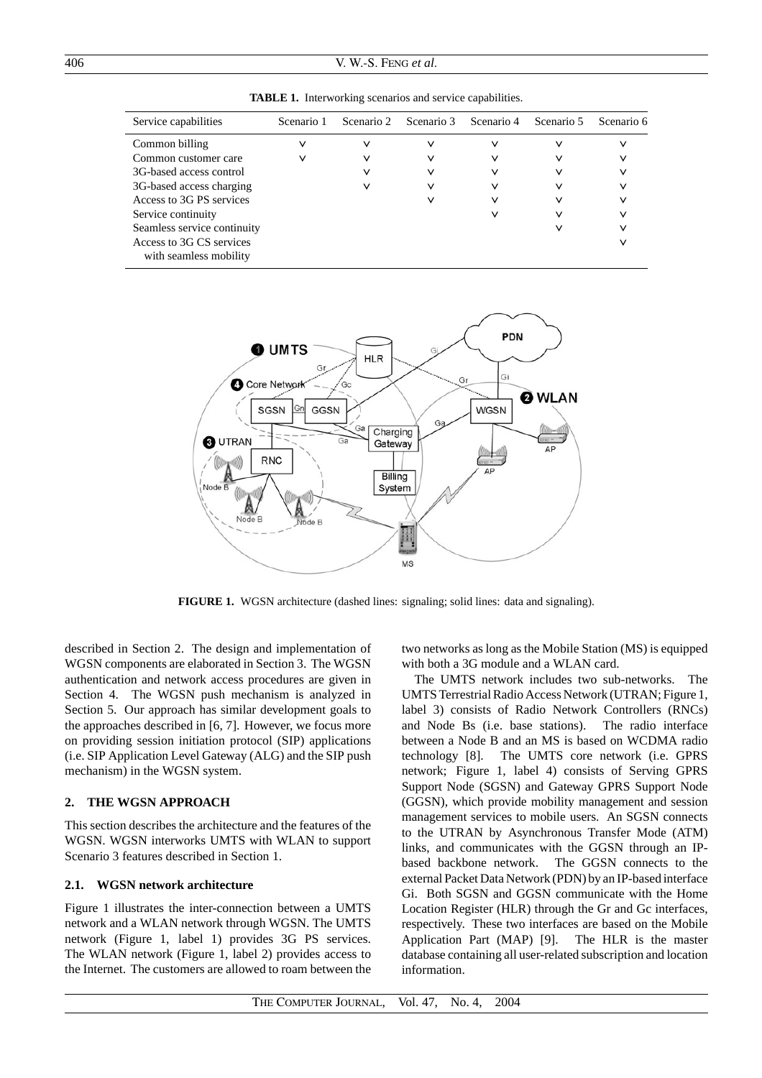| Service capabilities                               | Scenario 1 |   | Scenario 2 Scenario 3 Scenario 4 Scenario 5 |   | Scenario 6 |
|----------------------------------------------------|------------|---|---------------------------------------------|---|------------|
| Common billing                                     |            | v |                                             |   |            |
| Common customer care                               |            | v | v                                           | v |            |
| 3G-based access control                            |            | v | v                                           | ν |            |
| 3G-based access charging                           |            |   |                                             |   |            |
| Access to 3G PS services                           |            |   |                                             | v |            |
| Service continuity                                 |            |   |                                             |   |            |
| Seamless service continuity                        |            |   |                                             |   |            |
| Access to 3G CS services<br>with seamless mobility |            |   |                                             |   |            |

**TABLE 1.** Interworking scenarios and service capabilities.



**FIGURE 1.** WGSN architecture (dashed lines: signaling; solid lines: data and signaling).

described in Section 2. The design and implementation of WGSN components are elaborated in Section 3. The WGSN authentication and network access procedures are given in Section 4. The WGSN push mechanism is analyzed in Section 5. Our approach has similar development goals to the approaches described in [6, 7]. However, we focus more on providing session initiation protocol (SIP) applications (i.e. SIP Application Level Gateway (ALG) and the SIP push mechanism) in the WGSN system.

# **2. THE WGSN APPROACH**

This section describes the architecture and the features of the WGSN. WGSN interworks UMTS with WLAN to support Scenario 3 features described in Section 1.

#### **2.1. WGSN network architecture**

Figure 1 illustrates the inter-connection between a UMTS network and a WLAN network through WGSN. The UMTS network (Figure 1, label 1) provides 3G PS services. The WLAN network (Figure 1, label 2) provides access to the Internet. The customers are allowed to roam between the two networks as long as the Mobile Station (MS) is equipped with both a 3G module and a WLAN card.

The UMTS network includes two sub-networks. The UMTS Terrestrial Radio Access Network (UTRAN; Figure 1, label 3) consists of Radio Network Controllers (RNCs) and Node Bs (i.e. base stations). The radio interface between a Node B and an MS is based on WCDMA radio technology [8]. The UMTS core network (i.e. GPRS network; Figure 1, label 4) consists of Serving GPRS Support Node (SGSN) and Gateway GPRS Support Node (GGSN), which provide mobility management and session management services to mobile users. An SGSN connects to the UTRAN by Asynchronous Transfer Mode (ATM) links, and communicates with the GGSN through an IPbased backbone network. The GGSN connects to the external Packet Data Network (PDN) by an IP-based interface Gi. Both SGSN and GGSN communicate with the Home Location Register (HLR) through the Gr and Gc interfaces, respectively. These two interfaces are based on the Mobile Application Part (MAP) [9]. The HLR is the master database containing all user-related subscription and location information.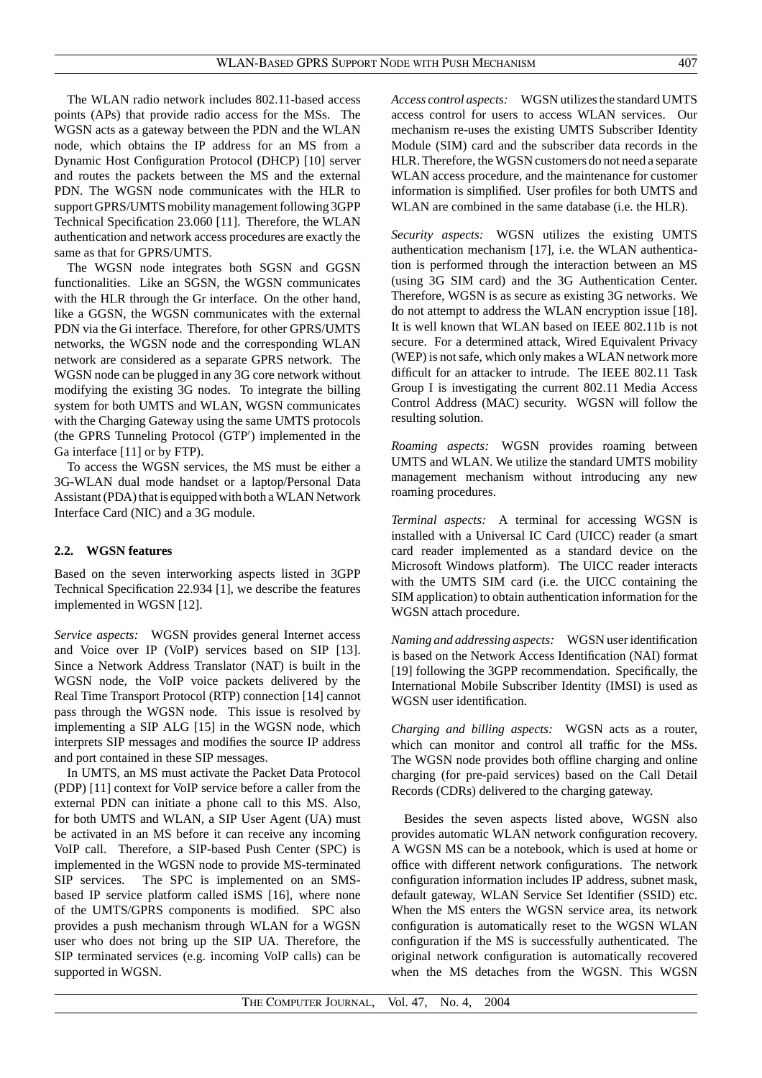The WLAN radio network includes 802.11-based access points (APs) that provide radio access for the MSs. The WGSN acts as a gateway between the PDN and the WLAN node, which obtains the IP address for an MS from a Dynamic Host Configuration Protocol (DHCP) [10] server and routes the packets between the MS and the external PDN. The WGSN node communicates with the HLR to support GPRS/UMTS mobility management following 3GPP Technical Specification 23.060 [11]. Therefore, the WLAN authentication and network access procedures are exactly the same as that for GPRS/UMTS.

The WGSN node integrates both SGSN and GGSN functionalities. Like an SGSN, the WGSN communicates with the HLR through the Gr interface. On the other hand, like a GGSN, the WGSN communicates with the external PDN via the Gi interface. Therefore, for other GPRS/UMTS networks, the WGSN node and the corresponding WLAN network are considered as a separate GPRS network. The WGSN node can be plugged in any 3G core network without modifying the existing 3G nodes. To integrate the billing system for both UMTS and WLAN, WGSN communicates with the Charging Gateway using the same UMTS protocols (the GPRS Tunneling Protocol (GTP ) implemented in the Ga interface [11] or by FTP).

To access the WGSN services, the MS must be either a 3G-WLAN dual mode handset or a laptop/Personal Data Assistant (PDA) that is equipped with both a WLAN Network Interface Card (NIC) and a 3G module.

## **2.2. WGSN features**

Based on the seven interworking aspects listed in 3GPP Technical Specification 22.934 [1], we describe the features implemented in WGSN [12].

*Service aspects:* WGSN provides general Internet access and Voice over IP (VoIP) services based on SIP [13]. Since a Network Address Translator (NAT) is built in the WGSN node, the VoIP voice packets delivered by the Real Time Transport Protocol (RTP) connection [14] cannot pass through the WGSN node. This issue is resolved by implementing a SIP ALG [15] in the WGSN node, which interprets SIP messages and modifies the source IP address and port contained in these SIP messages.

In UMTS, an MS must activate the Packet Data Protocol (PDP) [11] context for VoIP service before a caller from the external PDN can initiate a phone call to this MS. Also, for both UMTS and WLAN, a SIP User Agent (UA) must be activated in an MS before it can receive any incoming VoIP call. Therefore, a SIP-based Push Center (SPC) is implemented in the WGSN node to provide MS-terminated SIP services. The SPC is implemented on an SMSbased IP service platform called iSMS [16], where none of the UMTS/GPRS components is modified. SPC also provides a push mechanism through WLAN for a WGSN user who does not bring up the SIP UA. Therefore, the SIP terminated services (e.g. incoming VoIP calls) can be supported in WGSN.

*Access control aspects:* WGSN utilizes the standard UMTS access control for users to access WLAN services. Our mechanism re-uses the existing UMTS Subscriber Identity Module (SIM) card and the subscriber data records in the HLR. Therefore, the WGSN customers do not need a separate WLAN access procedure, and the maintenance for customer information is simplified. User profiles for both UMTS and WLAN are combined in the same database (i.e. the HLR).

*Security aspects:* WGSN utilizes the existing UMTS authentication mechanism [17], i.e. the WLAN authentication is performed through the interaction between an MS (using 3G SIM card) and the 3G Authentication Center. Therefore, WGSN is as secure as existing 3G networks. We do not attempt to address the WLAN encryption issue [18]. It is well known that WLAN based on IEEE 802.11b is not secure. For a determined attack, Wired Equivalent Privacy (WEP) is not safe, which only makes a WLAN network more difficult for an attacker to intrude. The IEEE 802.11 Task Group I is investigating the current 802.11 Media Access Control Address (MAC) security. WGSN will follow the resulting solution.

*Roaming aspects:* WGSN provides roaming between UMTS and WLAN. We utilize the standard UMTS mobility management mechanism without introducing any new roaming procedures.

*Terminal aspects:* A terminal for accessing WGSN is installed with a Universal IC Card (UICC) reader (a smart card reader implemented as a standard device on the Microsoft Windows platform). The UICC reader interacts with the UMTS SIM card (i.e. the UICC containing the SIM application) to obtain authentication information for the WGSN attach procedure.

*Naming and addressing aspects:* WGSN user identification is based on the Network Access Identification (NAI) format [19] following the 3GPP recommendation. Specifically, the International Mobile Subscriber Identity (IMSI) is used as WGSN user identification.

*Charging and billing aspects:* WGSN acts as a router, which can monitor and control all traffic for the MSs. The WGSN node provides both offline charging and online charging (for pre-paid services) based on the Call Detail Records (CDRs) delivered to the charging gateway.

Besides the seven aspects listed above, WGSN also provides automatic WLAN network configuration recovery. A WGSN MS can be a notebook, which is used at home or office with different network configurations. The network configuration information includes IP address, subnet mask, default gateway, WLAN Service Set Identifier (SSID) etc. When the MS enters the WGSN service area, its network configuration is automatically reset to the WGSN WLAN configuration if the MS is successfully authenticated. The original network configuration is automatically recovered when the MS detaches from the WGSN. This WGSN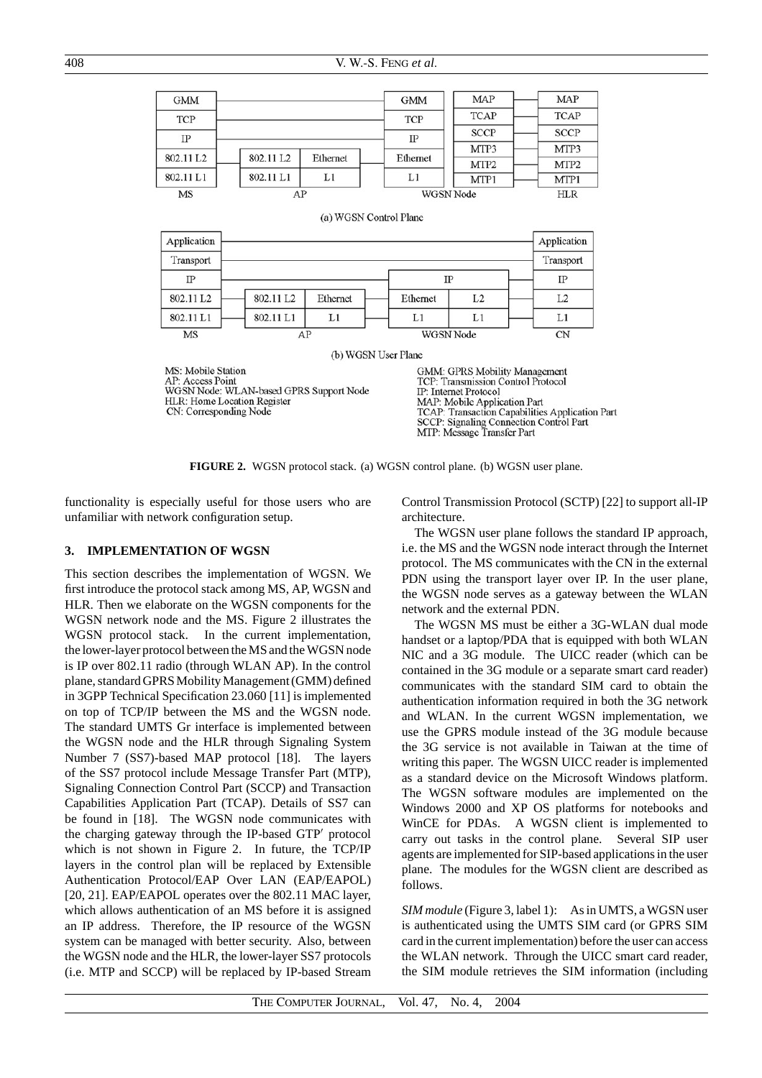| <b>GMM</b> |           |          |  | <b>GMM</b>       | <b>MAP</b>       | <b>MAP</b>       |
|------------|-----------|----------|--|------------------|------------------|------------------|
| TCP        |           |          |  | <b>TCP</b>       | <b>TCAP</b>      | <b>TCAP</b>      |
| IP         |           |          |  | $_{\rm IP}$      | <b>SCCP</b>      | <b>SCCP</b>      |
|            |           |          |  |                  | MTP3             | MTP3             |
| 802.11 L2  | 802.11 L2 | Ethernet |  | Ethernet         | MTP <sub>2</sub> | MTP <sub>2</sub> |
| 802.11 L1  | 802.11 L1 | L1       |  | L1               | MTP1             | MTP1             |
| MS         | AP        |          |  | <b>WGSN Node</b> | <b>HLR</b>       |                  |

#### (a) WGSN Control Plane

| Application |    |           |           |  |           |    | Application |
|-------------|----|-----------|-----------|--|-----------|----|-------------|
| Transport   |    |           |           |  |           |    | Transport   |
| $_{\rm IP}$ |    |           |           |  | ΙP        |    | IP          |
| 802.11 L2   |    | 802.11 L2 | Ethernet  |  | Ethernet  | L2 | L2          |
| 802.11 L1   |    | 802.11 L1 | L1        |  | L1        | L1 | L1          |
| MS          | ΑP |           | WGSN Node |  | <b>CN</b> |    |             |

(b) WGSN User Plane

MS: Mobile Station AP: Access Point WGSN Node: WLAN-based GPRS Support Node HLR: Home Location Register CN: Corresponding Node

**GMM: GPRS Mobility Management TCP: Transmission Control Protocol** IP: Internet Protocol MAP: Mobile Application Part TCAP: Transaction Capabilities Application Part<br>SCCP: Signaling Connection Control Part MTP: Message Transfer Part

**FIGURE 2.** WGSN protocol stack. (a) WGSN control plane. (b) WGSN user plane.

functionality is especially useful for those users who are unfamiliar with network configuration setup.

# **3. IMPLEMENTATION OF WGSN**

This section describes the implementation of WGSN. We first introduce the protocol stack among MS, AP, WGSN and HLR. Then we elaborate on the WGSN components for the WGSN network node and the MS. Figure 2 illustrates the WGSN protocol stack. In the current implementation, the lower-layer protocol between the MS and the WGSN node is IP over 802.11 radio (through WLAN AP). In the control plane, standard GPRS Mobility Management (GMM) defined in 3GPP Technical Specification 23.060 [11] is implemented on top of TCP/IP between the MS and the WGSN node. The standard UMTS Gr interface is implemented between the WGSN node and the HLR through Signaling System Number 7 (SS7)-based MAP protocol [18]. The layers of the SS7 protocol include Message Transfer Part (MTP), Signaling Connection Control Part (SCCP) and Transaction Capabilities Application Part (TCAP). Details of SS7 can be found in [18]. The WGSN node communicates with the charging gateway through the IP-based GTP' protocol which is not shown in Figure 2. In future, the TCP/IP layers in the control plan will be replaced by Extensible Authentication Protocol/EAP Over LAN (EAP/EAPOL) [20, 21]. EAP/EAPOL operates over the 802.11 MAC layer, which allows authentication of an MS before it is assigned an IP address. Therefore, the IP resource of the WGSN system can be managed with better security. Also, between the WGSN node and the HLR, the lower-layer SS7 protocols (i.e. MTP and SCCP) will be replaced by IP-based Stream Control Transmission Protocol (SCTP) [22] to support all-IP architecture.

The WGSN user plane follows the standard IP approach, i.e. the MS and the WGSN node interact through the Internet protocol. The MS communicates with the CN in the external PDN using the transport layer over IP. In the user plane, the WGSN node serves as a gateway between the WLAN network and the external PDN.

The WGSN MS must be either a 3G-WLAN dual mode handset or a laptop/PDA that is equipped with both WLAN NIC and a 3G module. The UICC reader (which can be contained in the 3G module or a separate smart card reader) communicates with the standard SIM card to obtain the authentication information required in both the 3G network and WLAN. In the current WGSN implementation, we use the GPRS module instead of the 3G module because the 3G service is not available in Taiwan at the time of writing this paper. The WGSN UICC reader is implemented as a standard device on the Microsoft Windows platform. The WGSN software modules are implemented on the Windows 2000 and XP OS platforms for notebooks and WinCE for PDAs. A WGSN client is implemented to carry out tasks in the control plane. Several SIP user agents are implemented for SIP-based applications in the user plane. The modules for the WGSN client are described as follows.

*SIM module* (Figure 3, label 1): As in UMTS, a WGSN user is authenticated using the UMTS SIM card (or GPRS SIM card in the current implementation) before the user can access the WLAN network. Through the UICC smart card reader, the SIM module retrieves the SIM information (including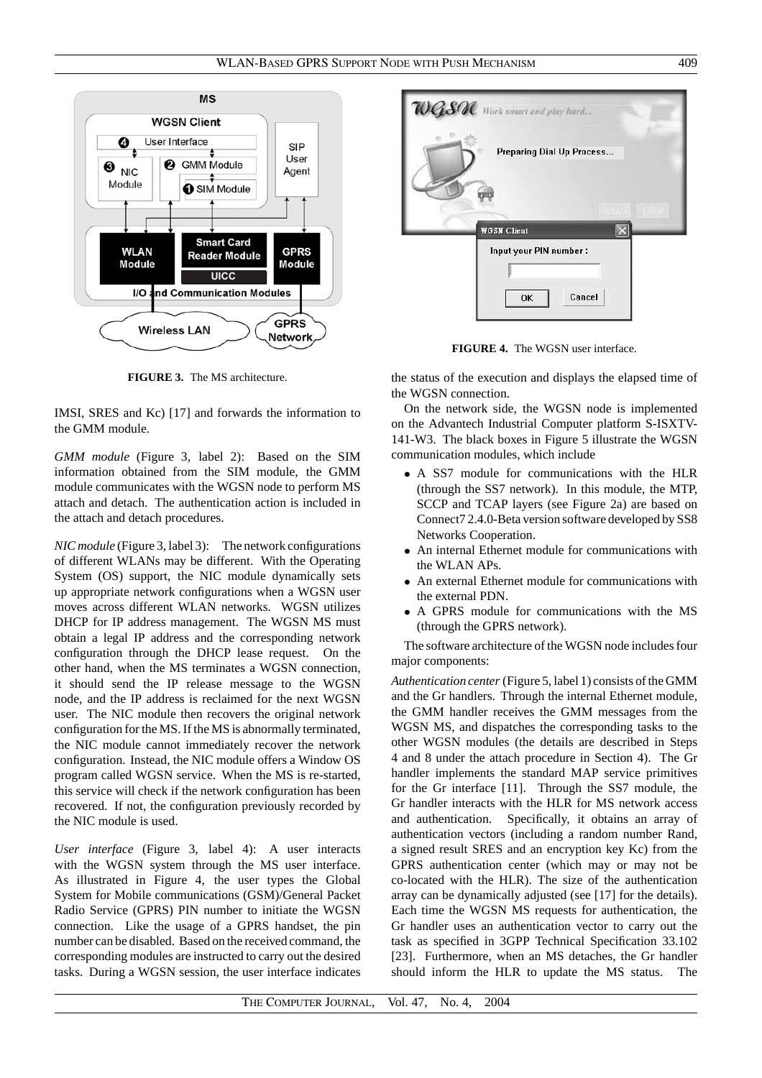

**FIGURE 3.** The MS architecture.

IMSI, SRES and Kc) [17] and forwards the information to the GMM module.

*GMM module* (Figure 3, label 2): Based on the SIM information obtained from the SIM module, the GMM module communicates with the WGSN node to perform MS attach and detach. The authentication action is included in the attach and detach procedures.

*NIC module* (Figure 3, label 3): The network configurations of different WLANs may be different. With the Operating System (OS) support, the NIC module dynamically sets up appropriate network configurations when a WGSN user moves across different WLAN networks. WGSN utilizes DHCP for IP address management. The WGSN MS must obtain a legal IP address and the corresponding network configuration through the DHCP lease request. On the other hand, when the MS terminates a WGSN connection, it should send the IP release message to the WGSN node, and the IP address is reclaimed for the next WGSN user. The NIC module then recovers the original network configuration for the MS. If the MS is abnormally terminated, the NIC module cannot immediately recover the network configuration. Instead, the NIC module offers a Window OS program called WGSN service. When the MS is re-started, this service will check if the network configuration has been recovered. If not, the configuration previously recorded by the NIC module is used.

*User interface* (Figure 3, label 4): A user interacts with the WGSN system through the MS user interface. As illustrated in Figure 4, the user types the Global System for Mobile communications (GSM)/General Packet Radio Service (GPRS) PIN number to initiate the WGSN connection. Like the usage of a GPRS handset, the pin number can be disabled. Based on the received command, the corresponding modules are instructed to carry out the desired tasks. During a WGSN session, the user interface indicates



**FIGURE 4.** The WGSN user interface.

the status of the execution and displays the elapsed time of the WGSN connection.

On the network side, the WGSN node is implemented on the Advantech Industrial Computer platform S-ISXTV-141-W3. The black boxes in Figure 5 illustrate the WGSN communication modules, which include

- A SS7 module for communications with the HLR (through the SS7 network). In this module, the MTP, SCCP and TCAP layers (see Figure 2a) are based on Connect7 2.4.0-Beta version software developed by SS8 Networks Cooperation.
- An internal Ethernet module for communications with the WLAN APs.
- An external Ethernet module for communications with the external PDN.
- A GPRS module for communications with the MS (through the GPRS network).

The software architecture of the WGSN node includes four major components:

*Authentication center* (Figure 5, label 1) consists of the GMM and the Gr handlers. Through the internal Ethernet module, the GMM handler receives the GMM messages from the WGSN MS, and dispatches the corresponding tasks to the other WGSN modules (the details are described in Steps 4 and 8 under the attach procedure in Section 4). The Gr handler implements the standard MAP service primitives for the Gr interface [11]. Through the SS7 module, the Gr handler interacts with the HLR for MS network access and authentication. Specifically, it obtains an array of authentication vectors (including a random number Rand, a signed result SRES and an encryption key Kc) from the GPRS authentication center (which may or may not be co-located with the HLR). The size of the authentication array can be dynamically adjusted (see [17] for the details). Each time the WGSN MS requests for authentication, the Gr handler uses an authentication vector to carry out the task as specified in 3GPP Technical Specification 33.102 [23]. Furthermore, when an MS detaches, the Gr handler should inform the HLR to update the MS status. The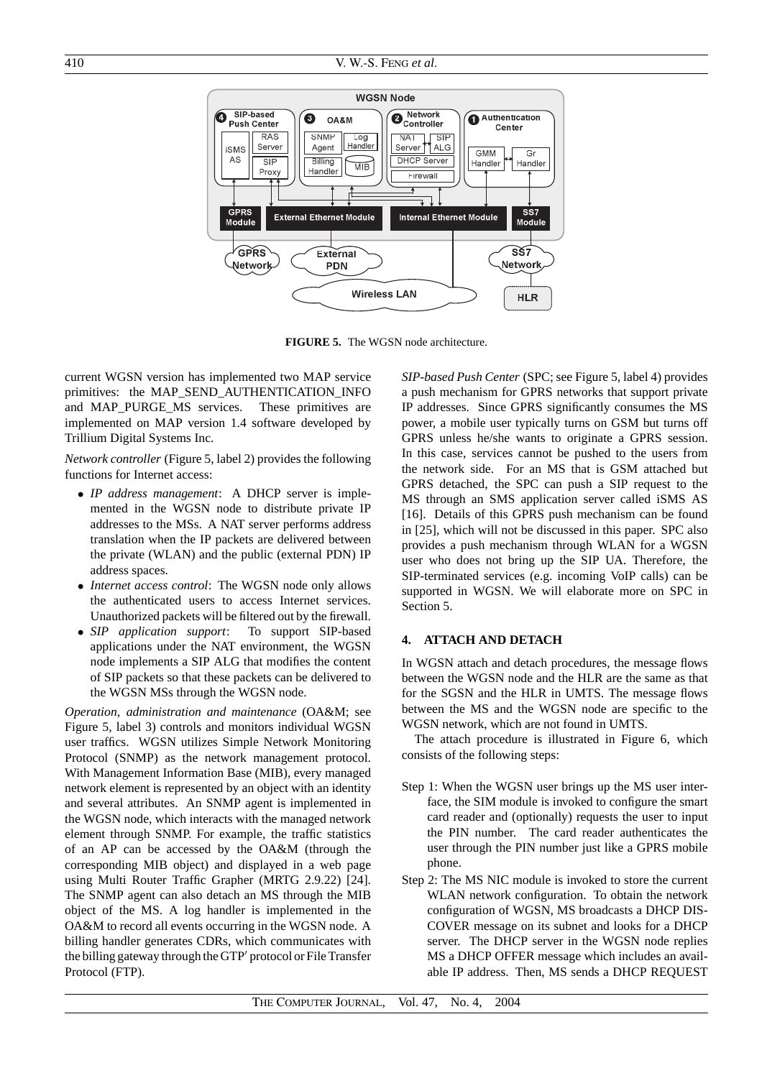

**FIGURE 5.** The WGSN node architecture.

current WGSN version has implemented two MAP service primitives: the MAP\_SEND\_AUTHENTICATION\_INFO and MAP\_PURGE\_MS services. These primitives are implemented on MAP version 1.4 software developed by Trillium Digital Systems Inc.

*Network controller* (Figure 5, label 2) provides the following functions for Internet access:

- *IP address management*: A DHCP server is implemented in the WGSN node to distribute private IP addresses to the MSs. A NAT server performs address translation when the IP packets are delivered between the private (WLAN) and the public (external PDN) IP address spaces.
- *Internet access control*: The WGSN node only allows the authenticated users to access Internet services. Unauthorized packets will be filtered out by the firewall.
- *SIP application support*: To support SIP-based applications under the NAT environment, the WGSN node implements a SIP ALG that modifies the content of SIP packets so that these packets can be delivered to the WGSN MSs through the WGSN node.

*Operation, administration and maintenance* (OA&M; see Figure 5, label 3) controls and monitors individual WGSN user traffics. WGSN utilizes Simple Network Monitoring Protocol (SNMP) as the network management protocol. With Management Information Base (MIB), every managed network element is represented by an object with an identity and several attributes. An SNMP agent is implemented in the WGSN node, which interacts with the managed network element through SNMP. For example, the traffic statistics of an AP can be accessed by the OA&M (through the corresponding MIB object) and displayed in a web page using Multi Router Traffic Grapher (MRTG 2.9.22) [24]. The SNMP agent can also detach an MS through the MIB object of the MS. A log handler is implemented in the OA&M to record all events occurring in the WGSN node. A billing handler generates CDRs, which communicates with the billing gateway through the GTP' protocol or File Transfer Protocol (FTP).

*SIP-based Push Center* (SPC; see Figure 5, label 4) provides a push mechanism for GPRS networks that support private IP addresses. Since GPRS significantly consumes the MS power, a mobile user typically turns on GSM but turns off GPRS unless he/she wants to originate a GPRS session. In this case, services cannot be pushed to the users from the network side. For an MS that is GSM attached but GPRS detached, the SPC can push a SIP request to the MS through an SMS application server called iSMS AS [16]. Details of this GPRS push mechanism can be found in [25], which will not be discussed in this paper. SPC also provides a push mechanism through WLAN for a WGSN user who does not bring up the SIP UA. Therefore, the SIP-terminated services (e.g. incoming VoIP calls) can be supported in WGSN. We will elaborate more on SPC in Section 5.

#### **4. ATTACH AND DETACH**

In WGSN attach and detach procedures, the message flows between the WGSN node and the HLR are the same as that for the SGSN and the HLR in UMTS. The message flows between the MS and the WGSN node are specific to the WGSN network, which are not found in UMTS.

The attach procedure is illustrated in Figure 6, which consists of the following steps:

- Step 1: When the WGSN user brings up the MS user interface, the SIM module is invoked to configure the smart card reader and (optionally) requests the user to input the PIN number. The card reader authenticates the user through the PIN number just like a GPRS mobile phone.
- Step 2: The MS NIC module is invoked to store the current WLAN network configuration. To obtain the network configuration of WGSN, MS broadcasts a DHCP DIS-COVER message on its subnet and looks for a DHCP server. The DHCP server in the WGSN node replies MS a DHCP OFFER message which includes an available IP address. Then, MS sends a DHCP REQUEST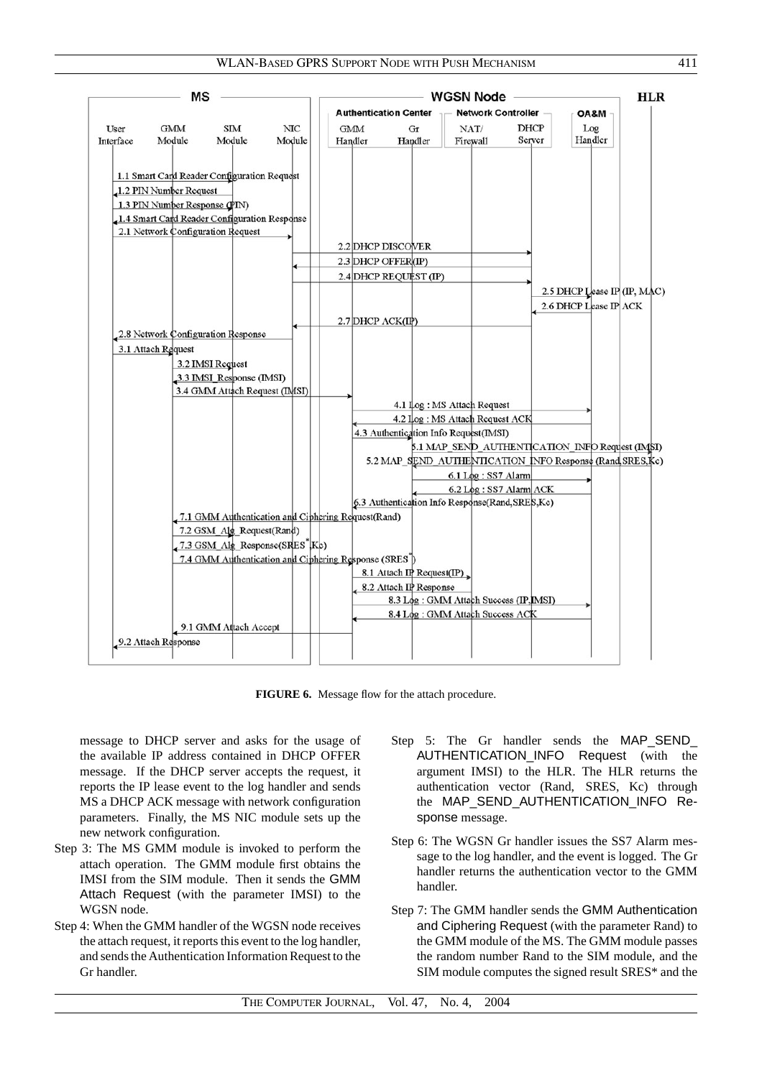

**FIGURE 6.** Message flow for the attach procedure.

message to DHCP server and asks for the usage of the available IP address contained in DHCP OFFER message. If the DHCP server accepts the request, it reports the IP lease event to the log handler and sends MS a DHCP ACK message with network configuration parameters. Finally, the MS NIC module sets up the new network configuration.

- Step 3: The MS GMM module is invoked to perform the attach operation. The GMM module first obtains the IMSI from the SIM module. Then it sends the GMM Attach Request (with the parameter IMSI) to the WGSN node.
- Step 4: When the GMM handler of the WGSN node receives the attach request, it reports this event to the log handler, and sends the Authentication Information Request to the Gr handler.
- Step 5: The Gr handler sends the MAP SEND AUTHENTICATION INFO Request (with the argument IMSI) to the HLR. The HLR returns the authentication vector (Rand, SRES, Kc) through the MAP\_SEND\_AUTHENTICATION\_INFO Response message.
- Step 6: The WGSN Gr handler issues the SS7 Alarm message to the log handler, and the event is logged. The Gr handler returns the authentication vector to the GMM handler.
- Step 7: The GMM handler sends the GMM Authentication and Ciphering Request (with the parameter Rand) to the GMM module of the MS. The GMM module passes the random number Rand to the SIM module, and the SIM module computes the signed result SRES\* and the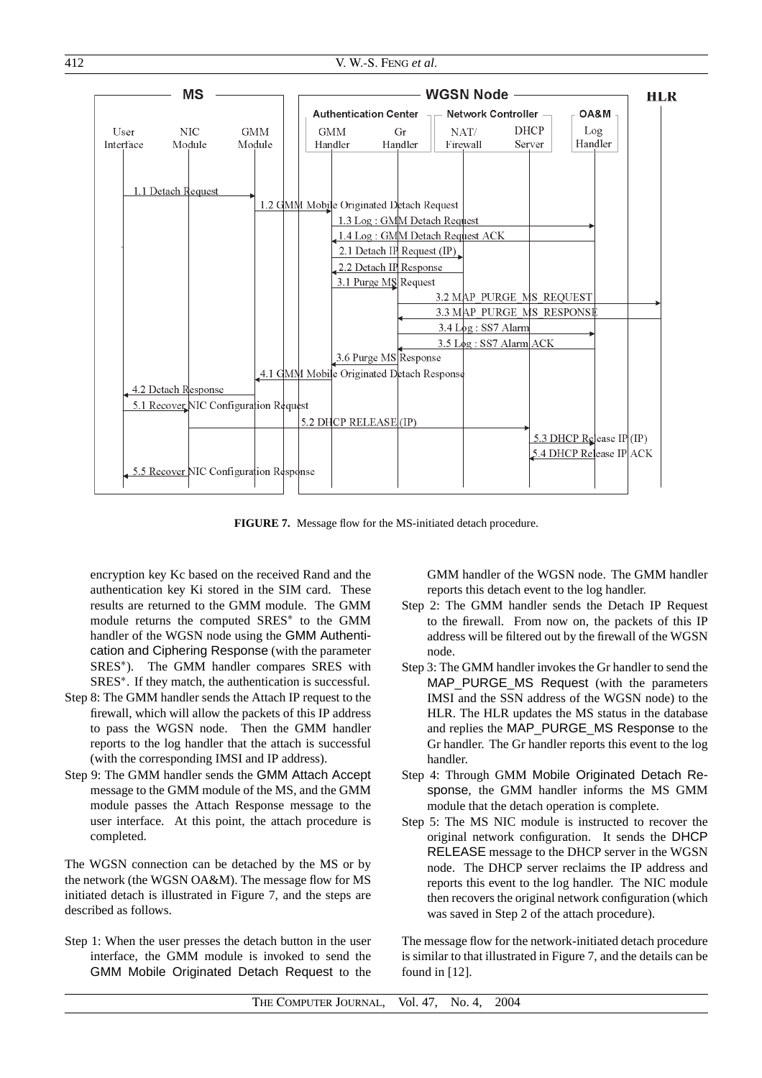

**FIGURE 7.** Message flow for the MS-initiated detach procedure.

encryption key Kc based on the received Rand and the authentication key Ki stored in the SIM card. These results are returned to the GMM module. The GMM module returns the computed SRES∗ to the GMM handler of the WGSN node using the GMM Authentication and Ciphering Response (with the parameter SRES∗). The GMM handler compares SRES with SRES<sup>\*</sup>. If they match, the authentication is successful.

- Step 8: The GMM handler sends the Attach IP request to the firewall, which will allow the packets of this IP address to pass the WGSN node. Then the GMM handler reports to the log handler that the attach is successful (with the corresponding IMSI and IP address).
- Step 9: The GMM handler sends the GMM Attach Accept message to the GMM module of the MS, and the GMM module passes the Attach Response message to the user interface. At this point, the attach procedure is completed.

The WGSN connection can be detached by the MS or by the network (the WGSN OA&M). The message flow for MS initiated detach is illustrated in Figure 7, and the steps are described as follows.

Step 1: When the user presses the detach button in the user interface, the GMM module is invoked to send the GMM Mobile Originated Detach Request to the

GMM handler of the WGSN node. The GMM handler reports this detach event to the log handler.

- Step 2: The GMM handler sends the Detach IP Request to the firewall. From now on, the packets of this IP address will be filtered out by the firewall of the WGSN node.
- Step 3: The GMM handler invokes the Gr handler to send the MAP\_PURGE\_MS\_Request (with the parameters IMSI and the SSN address of the WGSN node) to the HLR. The HLR updates the MS status in the database and replies the MAP\_PURGE\_MS Response to the Gr handler. The Gr handler reports this event to the log handler.
- Step 4: Through GMM Mobile Originated Detach Response, the GMM handler informs the MS GMM module that the detach operation is complete.
- Step 5: The MS NIC module is instructed to recover the original network configuration. It sends the DHCP RELEASE message to the DHCP server in the WGSN node. The DHCP server reclaims the IP address and reports this event to the log handler. The NIC module then recovers the original network configuration (which was saved in Step 2 of the attach procedure).

The message flow for the network-initiated detach procedure is similar to that illustrated in Figure 7, and the details can be found in [12].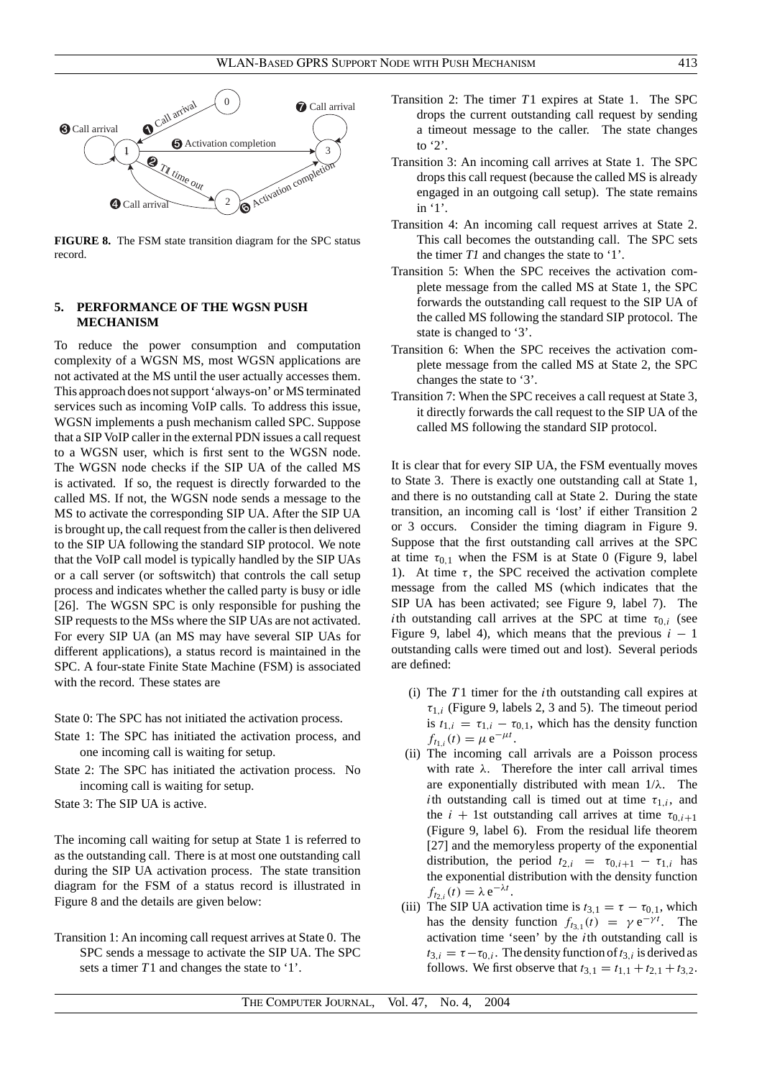

**FIGURE 8.** The FSM state transition diagram for the SPC status record.

# **5. PERFORMANCE OF THE WGSN PUSH MECHANISM**

To reduce the power consumption and computation complexity of a WGSN MS, most WGSN applications are not activated at the MS until the user actually accesses them. This approach does not support 'always-on' or MS terminated services such as incoming VoIP calls. To address this issue, WGSN implements a push mechanism called SPC. Suppose that a SIP VoIP caller in the external PDN issues a call request to a WGSN user, which is first sent to the WGSN node. The WGSN node checks if the SIP UA of the called MS is activated. If so, the request is directly forwarded to the called MS. If not, the WGSN node sends a message to the MS to activate the corresponding SIP UA. After the SIP UA is brought up, the call request from the caller is then delivered to the SIP UA following the standard SIP protocol. We note that the VoIP call model is typically handled by the SIP UAs or a call server (or softswitch) that controls the call setup process and indicates whether the called party is busy or idle [26]. The WGSN SPC is only responsible for pushing the SIP requests to the MSs where the SIP UAs are not activated. For every SIP UA (an MS may have several SIP UAs for different applications), a status record is maintained in the SPC. A four-state Finite State Machine (FSM) is associated with the record. These states are

- State 0: The SPC has not initiated the activation process.
- State 1: The SPC has initiated the activation process, and one incoming call is waiting for setup.
- State 2: The SPC has initiated the activation process. No incoming call is waiting for setup.
- State 3: The SIP UA is active.

The incoming call waiting for setup at State 1 is referred to as the outstanding call. There is at most one outstanding call during the SIP UA activation process. The state transition diagram for the FSM of a status record is illustrated in Figure 8 and the details are given below:

Transition 1: An incoming call request arrives at State 0. The SPC sends a message to activate the SIP UA. The SPC sets a timer *T*1 and changes the state to '1'.

- Transition 2: The timer *T*1 expires at State 1. The SPC drops the current outstanding call request by sending a timeout message to the caller. The state changes to '2'.
- Transition 3: An incoming call arrives at State 1. The SPC drops this call request (because the called MS is already engaged in an outgoing call setup). The state remains in '1'.
- Transition 4: An incoming call request arrives at State 2. This call becomes the outstanding call. The SPC sets the timer *T1* and changes the state to '1'.
- Transition 5: When the SPC receives the activation complete message from the called MS at State 1, the SPC forwards the outstanding call request to the SIP UA of the called MS following the standard SIP protocol. The state is changed to '3'.
- Transition 6: When the SPC receives the activation complete message from the called MS at State 2, the SPC changes the state to '3'.
- Transition 7: When the SPC receives a call request at State 3, it directly forwards the call request to the SIP UA of the called MS following the standard SIP protocol.

It is clear that for every SIP UA, the FSM eventually moves to State 3. There is exactly one outstanding call at State 1, and there is no outstanding call at State 2. During the state transition, an incoming call is 'lost' if either Transition 2 or 3 occurs. Consider the timing diagram in Figure 9. Suppose that the first outstanding call arrives at the SPC at time  $\tau_{0,1}$  when the FSM is at State 0 (Figure 9, label 1). At time  $\tau$ , the SPC received the activation complete message from the called MS (which indicates that the SIP UA has been activated; see Figure 9, label 7). The *i*th outstanding call arrives at the SPC at time  $\tau_{0,i}$  (see Figure 9, label 4), which means that the previous  $i - 1$ outstanding calls were timed out and lost). Several periods are defined:

- (i) The *T* 1 timer for the *i*th outstanding call expires at  $\tau_{1,i}$  (Figure 9, labels 2, 3 and 5). The timeout period is  $t_{1,i} = \tau_{1,i} - \tau_{0,1}$ , which has the density function  $f_{t_{1,i}}(t) = \mu e^{-\mu t}$ .
- (ii) The incoming call arrivals are a Poisson process with rate *λ*. Therefore the inter call arrival times are exponentially distributed with mean 1/*λ*. The *i*th outstanding call is timed out at time  $\tau_{1,i}$ , and the *i* + 1st outstanding call arrives at time  $\tau_{0,i+1}$ (Figure 9, label 6). From the residual life theorem [27] and the memoryless property of the exponential distribution, the period  $t_{2,i} = \tau_{0,i+1} - \tau_{1,i}$  has the exponential distribution with the density function  $f_{t_2}$ <sub>*i*</sub> $(t) = \lambda e^{-\lambda t}$ .
- (iii) The SIP UA activation time is  $t_{3,1} = \tau \tau_{0,1}$ , which has the density function  $f_{t_{3,1}}(t) = \gamma e^{-\gamma t}$ . The activation time 'seen' by the *i*th outstanding call is  $t_{3,i} = \tau - \tau_{0,i}$ . The density function of  $t_{3,i}$  is derived as follows. We first observe that  $t_{3,1} = t_{1,1} + t_{2,1} + t_{3,2}$ .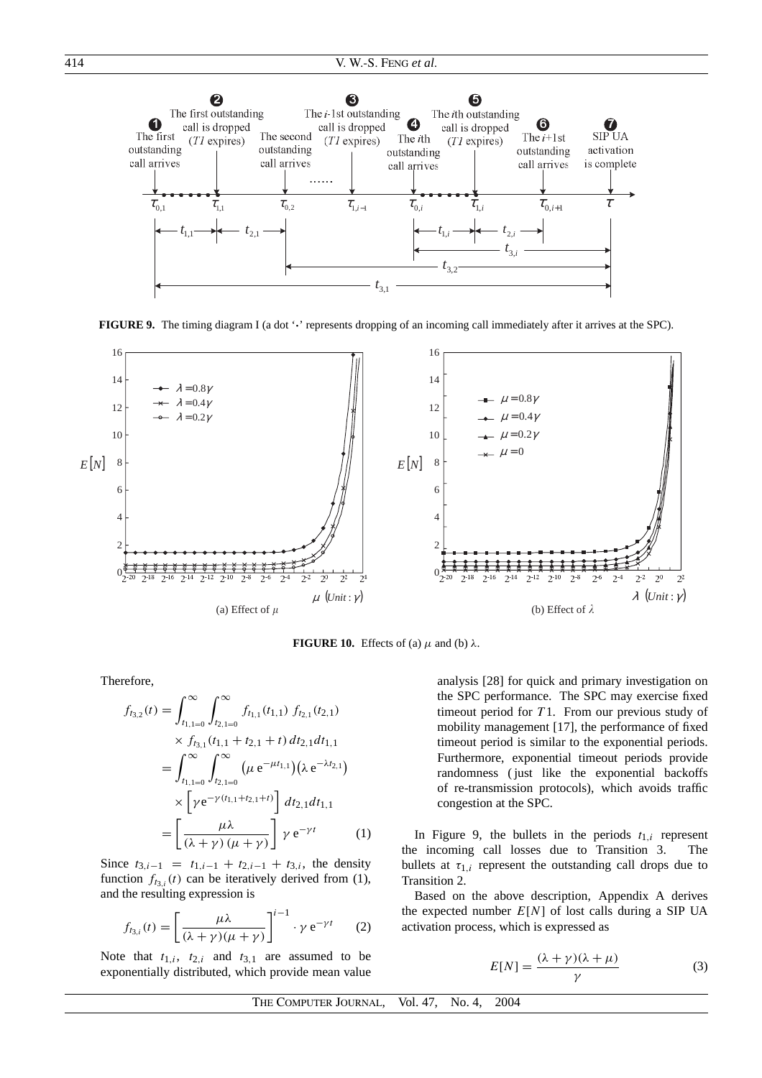

**FIGURE 9.** The timing diagram I (a dot '**·**' represents dropping of an incoming call immediately after it arrives at the SPC).



**FIGURE 10.** Effects of (a)  $\mu$  and (b)  $\lambda$ .

Therefore,

$$
f_{t_{3,2}}(t) = \int_{t_{1,1=0}}^{\infty} \int_{t_{2,1=0}}^{\infty} f_{t_{1,1}}(t_{1,1}) f_{t_{2,1}}(t_{2,1})
$$
  
\n
$$
\times f_{t_{3,1}}(t_{1,1} + t_{2,1} + t) dt_{2,1} dt_{1,1}
$$
  
\n
$$
= \int_{t_{1,1=0}}^{\infty} \int_{t_{2,1=0}}^{\infty} (\mu e^{-\mu t_{1,1}}) (\lambda e^{-\lambda t_{2,1}})
$$
  
\n
$$
\times \left[ \gamma e^{-\gamma (t_{1,1} + t_{2,1} + t)} \right] dt_{2,1} dt_{1,1}
$$
  
\n
$$
= \left[ \frac{\mu \lambda}{(\lambda + \gamma) (\mu + \gamma)} \right] \gamma e^{-\gamma t} \qquad (1)
$$

Since  $t_{3,i-1} = t_{1,i-1} + t_{2,i-1} + t_{3,i}$ , the density function  $f_{t_3}$ ; (*t*) can be iteratively derived from (1), and the resulting expression is

$$
f_{t_{3,i}}(t) = \left[\frac{\mu\lambda}{(\lambda + \gamma)(\mu + \gamma)}\right]^{i-1} \cdot \gamma e^{-\gamma t} \qquad (2)
$$

Note that  $t_{1,i}$ ,  $t_{2,i}$  and  $t_{3,1}$  are assumed to be exponentially distributed, which provide mean value analysis [28] for quick and primary investigation on the SPC performance. The SPC may exercise fixed timeout period for *T* 1. From our previous study of mobility management [17], the performance of fixed timeout period is similar to the exponential periods. Furthermore, exponential timeout periods provide randomness ( just like the exponential backoffs of re-transmission protocols), which avoids traffic congestion at the SPC.

In Figure 9, the bullets in the periods  $t_{1,i}$  represent the incoming call losses due to Transition 3. The bullets at  $\tau_{1,i}$  represent the outstanding call drops due to Transition 2.

Based on the above description, Appendix A derives the expected number *E*[*N*] of lost calls during a SIP UA activation process, which is expressed as

$$
E[N] = \frac{(\lambda + \gamma)(\lambda + \mu)}{\gamma}
$$
 (3)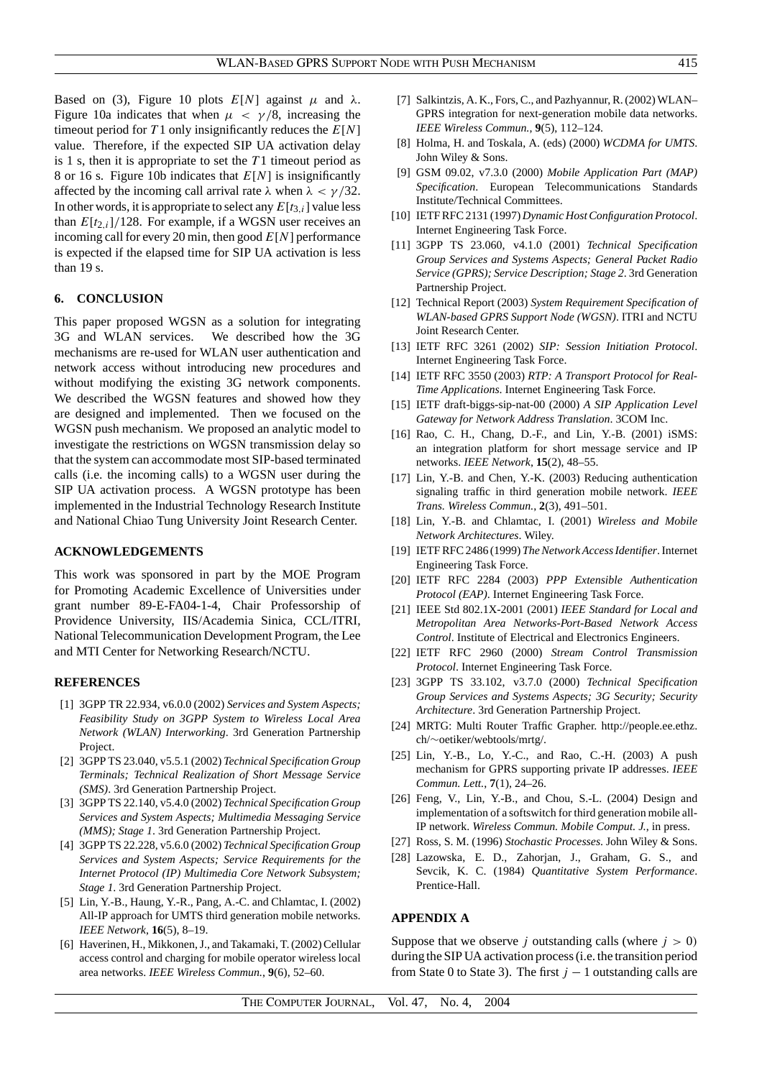Based on (3), Figure 10 plots  $E[N]$  against  $\mu$  and  $\lambda$ . Figure 10a indicates that when  $\mu < \gamma/8$ , increasing the timeout period for *T* 1 only insignificantly reduces the *E*[*N*] value. Therefore, if the expected SIP UA activation delay is 1 s, then it is appropriate to set the *T* 1 timeout period as 8 or 16 s. Figure 10b indicates that *E*[*N*] is insignificantly affected by the incoming call arrival rate  $\lambda$  when  $\lambda < \nu/32$ . In other words, it is appropriate to select any  $E[t_{3,i}]$  value less than  $E[t_{2,i}]/128$ . For example, if a WGSN user receives an incoming call for every 20 min, then good *E*[*N*] performance is expected if the elapsed time for SIP UA activation is less than 19 s.

#### **6. CONCLUSION**

This paper proposed WGSN as a solution for integrating 3G and WLAN services. We described how the 3G mechanisms are re-used for WLAN user authentication and network access without introducing new procedures and without modifying the existing 3G network components. We described the WGSN features and showed how they are designed and implemented. Then we focused on the WGSN push mechanism. We proposed an analytic model to investigate the restrictions on WGSN transmission delay so that the system can accommodate most SIP-based terminated calls (i.e. the incoming calls) to a WGSN user during the SIP UA activation process. A WGSN prototype has been implemented in the Industrial Technology Research Institute and National Chiao Tung University Joint Research Center.

## **ACKNOWLEDGEMENTS**

This work was sponsored in part by the MOE Program for Promoting Academic Excellence of Universities under grant number 89-E-FA04-1-4, Chair Professorship of Providence University, IIS/Academia Sinica, CCL/ITRI, National Telecommunication Development Program, the Lee and MTI Center for Networking Research/NCTU.

#### **REFERENCES**

- [1] 3GPP TR 22.934, v6.0.0 (2002) *Services and System Aspects; Feasibility Study on 3GPP System to Wireless Local Area Network (WLAN) Interworking*. 3rd Generation Partnership Project.
- [2] 3GPP TS 23.040, v5.5.1 (2002) *Technical Specification Group Terminals; Technical Realization of Short Message Service (SMS)*. 3rd Generation Partnership Project.
- [3] 3GPP TS 22.140, v5.4.0 (2002) *Technical Specification Group Services and System Aspects; Multimedia Messaging Service (MMS); Stage 1*. 3rd Generation Partnership Project.
- [4] 3GPP TS 22.228, v5.6.0 (2002) *Technical Specification Group Services and System Aspects; Service Requirements for the Internet Protocol (IP) Multimedia Core Network Subsystem; Stage 1*. 3rd Generation Partnership Project.
- [5] Lin, Y.-B., Haung, Y.-R., Pang, A.-C. and Chlamtac, I. (2002) All-IP approach for UMTS third generation mobile networks. *IEEE Network*, **16**(5), 8–19.
- [6] Haverinen, H., Mikkonen, J., and Takamaki, T. (2002) Cellular access control and charging for mobile operator wireless local area networks. *IEEE Wireless Commun.*, **9**(6), 52–60.
- [7] Salkintzis, A. K., Fors, C., and Pazhyannur, R. (2002) WLAN– GPRS integration for next-generation mobile data networks. *IEEE Wireless Commun.*, **9**(5), 112–124.
- [8] Holma, H. and Toskala, A. (eds) (2000) *WCDMA for UMTS*. John Wiley & Sons.
- [9] GSM 09.02, v7.3.0 (2000) *Mobile Application Part (MAP) Specification*. European Telecommunications Standards Institute/Technical Committees.
- [10] IETF RFC 2131 (1997) *Dynamic Host Configuration Protocol*. Internet Engineering Task Force.
- [11] 3GPP TS 23.060, v4.1.0 (2001) *Technical Specification Group Services and Systems Aspects; General Packet Radio Service (GPRS); Service Description; Stage 2*. 3rd Generation Partnership Project.
- [12] Technical Report (2003) *System Requirement Specification of WLAN-based GPRS Support Node (WGSN)*. ITRI and NCTU Joint Research Center.
- [13] IETF RFC 3261 (2002) *SIP: Session Initiation Protocol*. Internet Engineering Task Force.
- [14] IETF RFC 3550 (2003) *RTP: A Transport Protocol for Real-Time Applications*. Internet Engineering Task Force.
- [15] IETF draft-biggs-sip-nat-00 (2000) *A SIP Application Level Gateway for Network Address Translation*. 3COM Inc.
- [16] Rao, C. H., Chang, D.-F., and Lin, Y.-B. (2001) iSMS: an integration platform for short message service and IP networks. *IEEE Network*, **15**(2), 48–55.
- [17] Lin, Y.-B. and Chen, Y.-K. (2003) Reducing authentication signaling traffic in third generation mobile network. *IEEE Trans. Wireless Commun.*, **2**(3), 491–501.
- [18] Lin, Y.-B. and Chlamtac, I. (2001) *Wireless and Mobile Network Architectures*. Wiley.
- [19] IETF RFC 2486 (1999) *The Network Access Identifier*. Internet Engineering Task Force.
- [20] IETF RFC 2284 (2003) *PPP Extensible Authentication Protocol (EAP)*. Internet Engineering Task Force.
- [21] IEEE Std 802.1X-2001 (2001) *IEEE Standard for Local and Metropolitan Area Networks-Port-Based Network Access Control*. Institute of Electrical and Electronics Engineers.
- [22] IETF RFC 2960 (2000) *Stream Control Transmission Protocol*. Internet Engineering Task Force.
- [23] 3GPP TS 33.102, v3.7.0 (2000) *Technical Specification Group Services and Systems Aspects; 3G Security; Security Architecture*. 3rd Generation Partnership Project.
- [24] MRTG: Multi Router Traffic Grapher. [http://people.ee.ethz.](http://people.ee.ethz) ch/∼oetiker/webtools/mrtg/.
- [25] Lin, Y.-B., Lo, Y.-C., and Rao, C.-H. (2003) A push mechanism for GPRS supporting private IP addresses. *IEEE Commun. Lett.*, **7**(1), 24–26.
- [26] Feng, V., Lin, Y.-B., and Chou, S.-L. (2004) Design and implementation of a softswitch for third generation mobile all-IP network. *Wireless Commun. Mobile Comput. J.*, in press.
- [27] Ross, S. M. (1996) *Stochastic Processes*. John Wiley & Sons.
- [28] Lazowska, E. D., Zahorjan, J., Graham, G. S., and Sevcik, K. C. (1984) *Quantitative System Performance*. Prentice-Hall.

#### **APPENDIX A**

Suppose that we observe *j* outstanding calls (where  $j > 0$ ) during the SIP UA activation process (i.e. the transition period from State 0 to State 3). The first  $j - 1$  outstanding calls are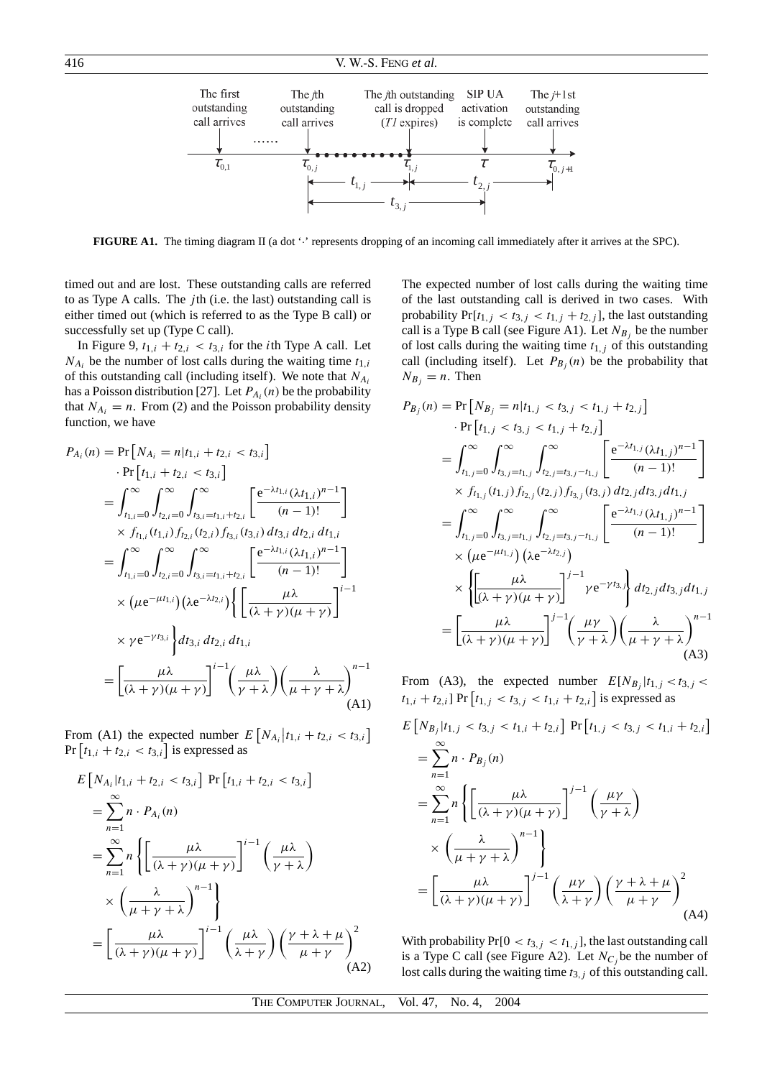

**FIGURE A1.** The timing diagram II (a dot '·' represents dropping of an incoming call immediately after it arrives at the SPC).

timed out and are lost. These outstanding calls are referred to as Type A calls. The *j* th (i.e. the last) outstanding call is either timed out (which is referred to as the Type B call) or successfully set up (Type C call).

In Figure 9,  $t_{1,i} + t_{2,i} < t_{3,i}$  for the *i*th Type A call. Let  $N_{A_i}$  be the number of lost calls during the waiting time  $t_{1,i}$ of this outstanding call (including itself). We note that *NAi* has a Poisson distribution [27]. Let  $P_{A_i}(n)$  be the probability that  $N_{A_i} = n$ . From (2) and the Poisson probability density function, we have

$$
P_{A_i}(n) = \Pr\left[N_{A_i} = n | t_{1,i} + t_{2,i} < t_{3,i}\right]
$$
\n
$$
\cdot \Pr\left[t_{1,i} + t_{2,i} < t_{3,i}\right]
$$
\n
$$
= \int_{t_{1,i}=0}^{\infty} \int_{t_{2,i}=0}^{\infty} \int_{t_{3,i}=t_{1,i}+t_{2,i}}^{\infty} \left[\frac{e^{-\lambda t_{1,i}} (\lambda t_{1,i})^{n-1}}{(n-1)!}\right]
$$
\n
$$
\times f_{t_{1,i}}(t_{1,i}) f_{t_{2,i}}(t_{2,i}) f_{t_{3,i}}(t_{3,i}) dt_{3,i} dt_{2,i} dt_{1,i}
$$
\n
$$
= \int_{t_{1,i}=0}^{\infty} \int_{t_{2,i}=0}^{\infty} \int_{t_{3,i}=t_{1,i}+t_{2,i}}^{\infty} \left[\frac{e^{-\lambda t_{1,i}} (\lambda t_{1,i})^{n-1}}{(n-1)!}\right]
$$
\n
$$
\times (\mu e^{-\mu t_{1,i}}) (\lambda e^{-\lambda t_{2,i}}) \left\{\left[\frac{\mu \lambda}{(\lambda + \gamma)(\mu + \gamma)}\right]^{i-1}\right\}
$$
\n
$$
\times \gamma e^{-\gamma t_{3,i}} \right\} dt_{3,i} dt_{2,i} dt_{1,i}
$$
\n
$$
= \left[\frac{\mu \lambda}{(\lambda + \gamma)(\mu + \gamma)}\right]^{i-1} \left(\frac{\mu \lambda}{\gamma + \lambda}\right) \left(\frac{\lambda}{\mu + \gamma + \lambda}\right)^{n-1}
$$
\n(A1)

From (A1) the expected number  $E[N_{A_i}|t_{1,i} + t_{2,i} < t_{3,i}]$  $Pr[t_{1,i} + t_{2,i} < t_{3,i}]$  is expressed as

$$
E\left[N_{A_i}|t_{1,i} + t_{2,i} < t_{3,i}\right] \Pr\left[t_{1,i} + t_{2,i} < t_{3,i}\right]
$$
\n
$$
= \sum_{n=1}^{\infty} n \cdot P_{A_i}(n)
$$
\n
$$
= \sum_{n=1}^{\infty} n \left\{ \left[ \frac{\mu \lambda}{(\lambda + \gamma)(\mu + \gamma)} \right]^{i-1} \left( \frac{\mu \lambda}{\gamma + \lambda} \right) \times \left( \frac{\lambda}{\mu + \gamma + \lambda} \right)^{n-1} \right\}
$$
\n
$$
= \left[ \frac{\mu \lambda}{(\lambda + \gamma)(\mu + \gamma)} \right]^{i-1} \left( \frac{\mu \lambda}{\lambda + \gamma} \right) \left( \frac{\gamma + \lambda + \mu}{\mu + \gamma} \right)^2
$$
\n(A2)

The expected number of lost calls during the waiting time of the last outstanding call is derived in two cases. With probability  $Pr[t_{1,j} < t_{3,j} < t_{1,j} + t_{2,j}]$ , the last outstanding call is a Type B call (see Figure A1). Let  $N_{B_i}$  be the number of lost calls during the waiting time  $t_{1,j}$  of this outstanding call (including itself). Let  $P_{B_i}(n)$  be the probability that  $N_{B_i} = n$ . Then

$$
P_{B_j}(n) = \Pr\left[N_{B_j} = n | t_{1,j} < t_{3,j} < t_{1,j} + t_{2,j}\right]
$$
\n
$$
\cdot \Pr\left[t_{1,j} < t_{3,j} < t_{1,j} + t_{2,j}\right]
$$
\n
$$
= \int_{t_{1,j}=0}^{\infty} \int_{t_{3,j}=t_{1,j}}^{\infty} \int_{t_{2,j}=t_{3,j}-t_{1,j}}^{\infty} \left[\frac{e^{-\lambda t_{1,j}} (\lambda t_{1,j})^{n-1}}{(n-1)!}\right]
$$
\n
$$
\times f_{t_{1,j}}(t_{1,j}) f_{t_{2,j}}(t_{2,j}) f_{t_{3,j}}(t_{3,j}) dt_{2,j} dt_{3,j} dt_{1,j}
$$
\n
$$
= \int_{t_{1,j}=0}^{\infty} \int_{t_{3,j}=t_{1,j}}^{\infty} \int_{t_{2,j}=t_{3,j}-t_{1,j}}^{\infty} \left[\frac{e^{-\lambda t_{1,j}} (\lambda t_{1,j})^{n-1}}{(n-1)!}\right]
$$
\n
$$
\times \left(\mu e^{-\mu t_{1,j}}\right) \left(\lambda e^{-\lambda t_{2,j}}\right)
$$
\n
$$
\times \left\{\left[\frac{\mu \lambda}{(\lambda + \gamma)(\mu + \gamma)}\right]^{j-1} \gamma e^{-\gamma t_{3,j}}\right\} dt_{2,j} dt_{3,j} dt_{1,j}
$$
\n
$$
= \left[\frac{\mu \lambda}{(\lambda + \gamma)(\mu + \gamma)}\right]^{j-1} \left(\frac{\mu \gamma}{\gamma + \lambda}\right) \left(\frac{\lambda}{\mu + \gamma + \lambda}\right)^{n-1}
$$
\n(A3)

From (A3), the expected number  $E[N_{B_i}|t_{1,j} < t_{3,j}$  $t_{1,i} + t_{2,i}$  ] Pr  $[t_{1,j} < t_{3,j} < t_{1,i} + t_{2,i}]$  is expressed as

$$
E[N_{B_j}|t_{1,j} < t_{3,j} < t_{1,i} + t_{2,i}] \Pr[t_{1,j} < t_{3,j} < t_{1,i} + t_{2,i}]
$$
\n
$$
= \sum_{n=1}^{\infty} n \cdot P_{B_j}(n)
$$
\n
$$
= \sum_{n=1}^{\infty} n \left\{ \left[ \frac{\mu \lambda}{(\lambda + \gamma)(\mu + \gamma)} \right]^{j-1} \left( \frac{\mu \gamma}{\gamma + \lambda} \right) \right\}
$$
\n
$$
\times \left( \frac{\lambda}{\mu + \gamma + \lambda} \right)^{n-1} \right\}
$$
\n
$$
= \left[ \frac{\mu \lambda}{(\lambda + \gamma)(\mu + \gamma)} \right]^{j-1} \left( \frac{\mu \gamma}{\lambda + \gamma} \right) \left( \frac{\gamma + \lambda + \mu}{\mu + \gamma} \right)^2
$$
\n(A4)

With probability  $Pr[0 < t_{3,j} < t_{1,j}]$ , the last outstanding call is a Type C call (see Figure A2). Let  $N_{C_i}$  be the number of lost calls during the waiting time *t*3*,j* of this outstanding call.

The Computer Journal, Vol. 47, No. 4, 2004